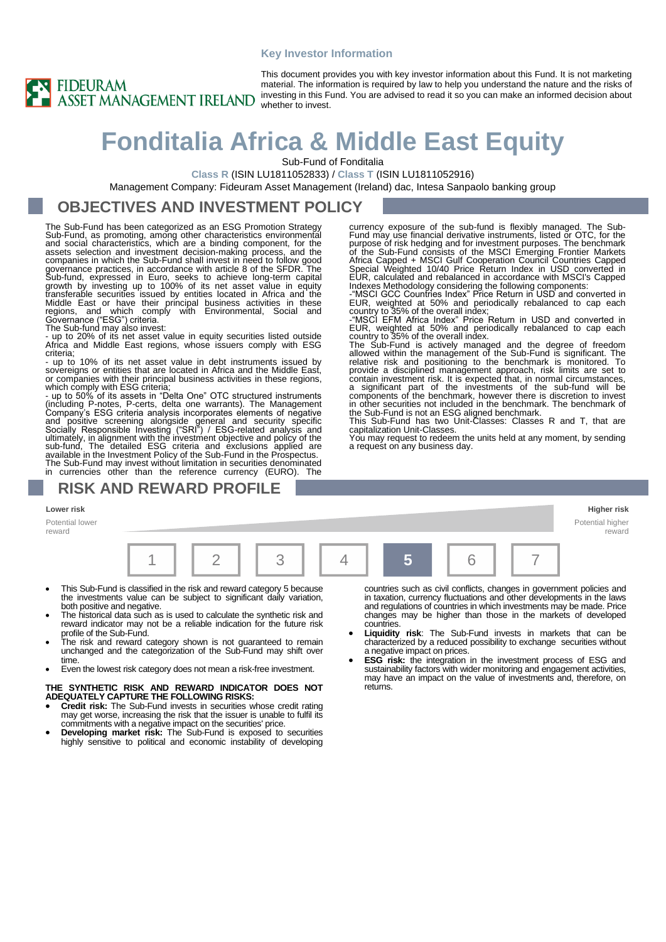#### **Key Investor Information**



This document provides you with key investor information about this Fund. It is not marketing material. The information is required by law to help you understand the nature and the risks of investing in this Fund. You are advised to read it so you can make an informed decision about whether to invest.

# **Fonditalia Africa & Middle East Equity**

Sub-Fund of Fonditalia

**Class R** (ISIN LU1811052833) / **Class T** (ISIN LU1811052916)

Management Company: Fideuram Asset Management (Ireland) dac, Intesa Sanpaolo banking group

### **OBJECTIVES AND INVESTMENT POLICY**

The Sub-Fund has been categorized as an ESG Promotion Strategy Sub-Fund, as promoting, among other characteristics environmental<br>and social characteristics, which are a binding component, for the<br>assets selection and investment decision-making process, and the<br>companies in which the S governance practices, in accordance with article 8 of the SFDR. The<br>Sub-fund, expressed in Euro, seeks to achieve long-term capital<br>growth by investing up to 100% of its net asset value in equity<br>transferable securities is Middle East or have their principal business activities in these regions, and which comply with Environmental, Social and Governance ("ESG") criteria. The Sub-fund may also invest: - up to 20% of its net asset value in equity securities listed outside

Africa and Middle East regions, whose issuers comply with ESG criteria;

- up to 10% of its net asset value in debt instruments issued by sovereigns or entities that are located in Africa and the Middle East, or companies with their principal business activities in these regions, which comply with ESG criteria;

- up to 50% of its assets in "Delta One" OTC structured instruments (including P-notes, P-certs, delta one warrants). The Management Company's ESG criteria analysis incorporates elements of negative and positive screening alongside general and security specific<br>Socially Responsible Investing ("SRI") / ESG-related analysis and<br>ultimately, in alignment with the investment objective and policy of the<br>sub-fund, The detail The Sub-Fund may invest without limitation in securities denominated in currencies other than the reference currency (EURO). The

### **RISK AND REWARD PROFILE**

#### **Lower risk Higher risk**

Potential lower

reward

|  |  |  |  | <b>Allen</b> |  |  |  |
|--|--|--|--|--------------|--|--|--|

- This Sub-Fund is classified in the risk and reward category 5 because the investments value can be subject to significant daily variation, both positive and negative.
- The historical data such as is used to calculate the synthetic risk and reward indicator may not be a reliable indication for the future risk profile of the Sub-Fund.
- The risk and reward category shown is not guaranteed to remain unchanged and the categorization of the Sub-Fund may shift over time.
- Even the lowest risk category does not mean a risk-free investment.

#### **THE SYNTHETIC RISK AND REWARD INDICATOR DOES NOT ADEQUATELY CAPTURE THE FOLLOWING RISKS:**

- **Credit risk:** The Sub-Fund invests in securities whose credit rating may get worse, increasing the risk that the issuer is unable to fulfil its
- commitments with a negative impact on the securities' price. **Developing market risk:** The Sub-Fund is exposed to securities highly sensitive to political and economic instability of developing

countries such as civil conflicts, changes in government policies and in taxation, currency fluctuations and other developments in the laws and regulations of countries in which investments may be made. Price changes may be higher than those in the markets of developed countries.

Potential higher reward

- **Liquidity risk**: The Sub-Fund invests in markets that can be characterized by a reduced possibility to exchange securities without a negative impact on prices.
- **ESG risk:** the integration in the investment process of ESG and sustainability factors with wider monitoring and engagement activities, may have an impact on the value of investments and, therefore, on returns.

currency exposure of the sub-fund is flexibly managed. The Sub-<br>Fund may use financial derivative instruments, listed or OTC, for the Fund may use financial derivative instruments, listed or OTC, for the purpose of risk hedging and for investment purposes. The benchmark<br>of the Sub-Fund consists of the MSCI Emerging Frontier Markets<br>Africa Capped + MSCI G

The Sub-Fund is actively managed and the degree of freedom allowed within the management of the Sub-Fund is significant. The relative risk and positioning to the benchmark is monitored. To provide a disciplined management approach, risk limits are set to contain investment risk. It is expected that, in normal circumstances,<br>a significant part of the investments of the sub-fund will be<br>components of the benchmark, however there is discretion to invest<br>in other securities no

capitalization Unit-Classes. You may request to redeem the units held at any moment, by sending

a request on any business day.